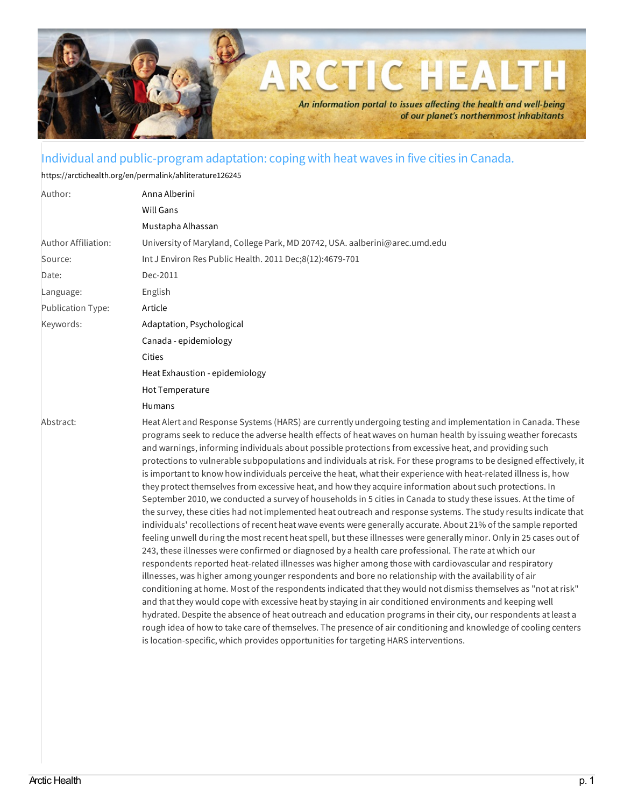

## Individual and public-program adaptation: coping with heat waves in five cities in Canada.

<https://arctichealth.org/en/permalink/ahliterature126245>

| Author:                  | Anna Alberini                                                                                                                                                                                                                                                                                                                                                                                                                                                                                                                                                                                                                                                                                                                                                                                                                                                                                                                                                                                                                                                                                                                                                                                                                                                                                                                                                                                                                                                                                                                                                                                                                                                                                                                                                                                                                                                                                                                                                                                                                                                          |
|--------------------------|------------------------------------------------------------------------------------------------------------------------------------------------------------------------------------------------------------------------------------------------------------------------------------------------------------------------------------------------------------------------------------------------------------------------------------------------------------------------------------------------------------------------------------------------------------------------------------------------------------------------------------------------------------------------------------------------------------------------------------------------------------------------------------------------------------------------------------------------------------------------------------------------------------------------------------------------------------------------------------------------------------------------------------------------------------------------------------------------------------------------------------------------------------------------------------------------------------------------------------------------------------------------------------------------------------------------------------------------------------------------------------------------------------------------------------------------------------------------------------------------------------------------------------------------------------------------------------------------------------------------------------------------------------------------------------------------------------------------------------------------------------------------------------------------------------------------------------------------------------------------------------------------------------------------------------------------------------------------------------------------------------------------------------------------------------------------|
|                          | <b>Will Gans</b>                                                                                                                                                                                                                                                                                                                                                                                                                                                                                                                                                                                                                                                                                                                                                                                                                                                                                                                                                                                                                                                                                                                                                                                                                                                                                                                                                                                                                                                                                                                                                                                                                                                                                                                                                                                                                                                                                                                                                                                                                                                       |
|                          | Mustapha Alhassan                                                                                                                                                                                                                                                                                                                                                                                                                                                                                                                                                                                                                                                                                                                                                                                                                                                                                                                                                                                                                                                                                                                                                                                                                                                                                                                                                                                                                                                                                                                                                                                                                                                                                                                                                                                                                                                                                                                                                                                                                                                      |
| Author Affiliation:      | University of Maryland, College Park, MD 20742, USA. aalberini@arec.umd.edu                                                                                                                                                                                                                                                                                                                                                                                                                                                                                                                                                                                                                                                                                                                                                                                                                                                                                                                                                                                                                                                                                                                                                                                                                                                                                                                                                                                                                                                                                                                                                                                                                                                                                                                                                                                                                                                                                                                                                                                            |
| Source:                  | Int J Environ Res Public Health. 2011 Dec;8(12):4679-701                                                                                                                                                                                                                                                                                                                                                                                                                                                                                                                                                                                                                                                                                                                                                                                                                                                                                                                                                                                                                                                                                                                                                                                                                                                                                                                                                                                                                                                                                                                                                                                                                                                                                                                                                                                                                                                                                                                                                                                                               |
| Date:                    | Dec-2011                                                                                                                                                                                                                                                                                                                                                                                                                                                                                                                                                                                                                                                                                                                                                                                                                                                                                                                                                                                                                                                                                                                                                                                                                                                                                                                                                                                                                                                                                                                                                                                                                                                                                                                                                                                                                                                                                                                                                                                                                                                               |
| Language:                | English                                                                                                                                                                                                                                                                                                                                                                                                                                                                                                                                                                                                                                                                                                                                                                                                                                                                                                                                                                                                                                                                                                                                                                                                                                                                                                                                                                                                                                                                                                                                                                                                                                                                                                                                                                                                                                                                                                                                                                                                                                                                |
| <b>Publication Type:</b> | Article                                                                                                                                                                                                                                                                                                                                                                                                                                                                                                                                                                                                                                                                                                                                                                                                                                                                                                                                                                                                                                                                                                                                                                                                                                                                                                                                                                                                                                                                                                                                                                                                                                                                                                                                                                                                                                                                                                                                                                                                                                                                |
| Keywords:                | Adaptation, Psychological                                                                                                                                                                                                                                                                                                                                                                                                                                                                                                                                                                                                                                                                                                                                                                                                                                                                                                                                                                                                                                                                                                                                                                                                                                                                                                                                                                                                                                                                                                                                                                                                                                                                                                                                                                                                                                                                                                                                                                                                                                              |
|                          | Canada - epidemiology                                                                                                                                                                                                                                                                                                                                                                                                                                                                                                                                                                                                                                                                                                                                                                                                                                                                                                                                                                                                                                                                                                                                                                                                                                                                                                                                                                                                                                                                                                                                                                                                                                                                                                                                                                                                                                                                                                                                                                                                                                                  |
|                          | <b>Cities</b>                                                                                                                                                                                                                                                                                                                                                                                                                                                                                                                                                                                                                                                                                                                                                                                                                                                                                                                                                                                                                                                                                                                                                                                                                                                                                                                                                                                                                                                                                                                                                                                                                                                                                                                                                                                                                                                                                                                                                                                                                                                          |
|                          | Heat Exhaustion - epidemiology                                                                                                                                                                                                                                                                                                                                                                                                                                                                                                                                                                                                                                                                                                                                                                                                                                                                                                                                                                                                                                                                                                                                                                                                                                                                                                                                                                                                                                                                                                                                                                                                                                                                                                                                                                                                                                                                                                                                                                                                                                         |
|                          | Hot Temperature                                                                                                                                                                                                                                                                                                                                                                                                                                                                                                                                                                                                                                                                                                                                                                                                                                                                                                                                                                                                                                                                                                                                                                                                                                                                                                                                                                                                                                                                                                                                                                                                                                                                                                                                                                                                                                                                                                                                                                                                                                                        |
|                          | <b>Humans</b>                                                                                                                                                                                                                                                                                                                                                                                                                                                                                                                                                                                                                                                                                                                                                                                                                                                                                                                                                                                                                                                                                                                                                                                                                                                                                                                                                                                                                                                                                                                                                                                                                                                                                                                                                                                                                                                                                                                                                                                                                                                          |
| Abstract:                | Heat Alert and Response Systems (HARS) are currently undergoing testing and implementation in Canada. These<br>programs seek to reduce the adverse health effects of heat waves on human health by issuing weather forecasts<br>and warnings, informing individuals about possible protections from excessive heat, and providing such<br>protections to vulnerable subpopulations and individuals at risk. For these programs to be designed effectively, it<br>is important to know how individuals perceive the heat, what their experience with heat-related illness is, how<br>they protect themselves from excessive heat, and how they acquire information about such protections. In<br>September 2010, we conducted a survey of households in 5 cities in Canada to study these issues. At the time of<br>the survey, these cities had not implemented heat outreach and response systems. The study results indicate that<br>individuals' recollections of recent heat wave events were generally accurate. About 21% of the sample reported<br>feeling unwell during the most recent heat spell, but these illnesses were generally minor. Only in 25 cases out of<br>243, these illnesses were confirmed or diagnosed by a health care professional. The rate at which our<br>respondents reported heat-related illnesses was higher among those with cardiovascular and respiratory<br>illnesses, was higher among younger respondents and bore no relationship with the availability of air<br>conditioning at home. Most of the respondents indicated that they would not dismiss themselves as "not at risk"<br>and that they would cope with excessive heat by staying in air conditioned environments and keeping well<br>hydrated. Despite the absence of heat outreach and education programs in their city, our respondents at least a<br>rough idea of how to take care of themselves. The presence of air conditioning and knowledge of cooling centers<br>is location-specific, which provides opportunities for targeting HARS interventions. |